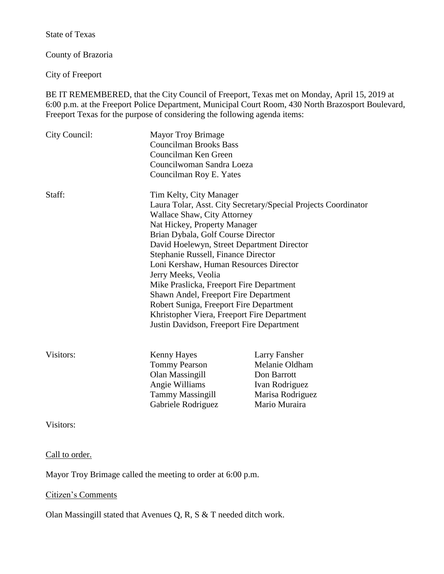State of Texas

County of Brazoria

City of Freeport

BE IT REMEMBERED, that the City Council of Freeport, Texas met on Monday, April 15, 2019 at 6:00 p.m. at the Freeport Police Department, Municipal Court Room, 430 North Brazosport Boulevard, Freeport Texas for the purpose of considering the following agenda items:

| City Council: | <b>Mayor Troy Brimage</b><br><b>Councilman Brooks Bass</b><br>Councilman Ken Green<br>Councilwoman Sandra Loeza<br>Councilman Roy E. Yates                                                                                                                                                                                                                                                                                                                                                                            |                                                                                                       |
|---------------|-----------------------------------------------------------------------------------------------------------------------------------------------------------------------------------------------------------------------------------------------------------------------------------------------------------------------------------------------------------------------------------------------------------------------------------------------------------------------------------------------------------------------|-------------------------------------------------------------------------------------------------------|
| Staff:        | Tim Kelty, City Manager<br><b>Wallace Shaw, City Attorney</b><br>Nat Hickey, Property Manager<br>Brian Dybala, Golf Course Director<br>David Hoelewyn, Street Department Director<br>Stephanie Russell, Finance Director<br>Loni Kershaw, Human Resources Director<br>Jerry Meeks, Veolia<br>Mike Praslicka, Freeport Fire Department<br>Shawn Andel, Freeport Fire Department<br>Robert Suniga, Freeport Fire Department<br>Khristopher Viera, Freeport Fire Department<br>Justin Davidson, Freeport Fire Department | Laura Tolar, Asst. City Secretary/Special Projects Coordinator                                        |
| Visitors:     | <b>Kenny Hayes</b><br><b>Tommy Pearson</b><br>Olan Massingill<br>Angie Williams<br><b>Tammy Massingill</b><br>Gabriele Rodriguez                                                                                                                                                                                                                                                                                                                                                                                      | Larry Fansher<br>Melanie Oldham<br>Don Barrott<br>Ivan Rodriguez<br>Marisa Rodriguez<br>Mario Muraira |

Visitors:

Call to order.

Mayor Troy Brimage called the meeting to order at 6:00 p.m.

### Citizen's Comments

Olan Massingill stated that Avenues Q, R, S & T needed ditch work.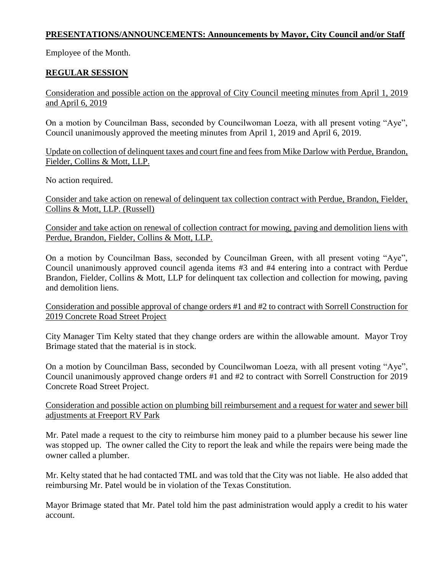## **PRESENTATIONS/ANNOUNCEMENTS: Announcements by Mayor, City Council and/or Staff**

Employee of the Month.

# **REGULAR SESSION**

Consideration and possible action on the approval of City Council meeting minutes from April 1, 2019 and April 6, 2019

On a motion by Councilman Bass, seconded by Councilwoman Loeza, with all present voting "Aye", Council unanimously approved the meeting minutes from April 1, 2019 and April 6, 2019.

Update on collection of delinquent taxes and court fine and fees from Mike Darlow with Perdue, Brandon, Fielder, Collins & Mott, LLP.

No action required.

Consider and take action on renewal of delinquent tax collection contract with Perdue, Brandon, Fielder, Collins & Mott, LLP. (Russell)

Consider and take action on renewal of collection contract for mowing, paving and demolition liens with Perdue, Brandon, Fielder, Collins & Mott, LLP.

On a motion by Councilman Bass, seconded by Councilman Green, with all present voting "Aye", Council unanimously approved council agenda items #3 and #4 entering into a contract with Perdue Brandon, Fielder, Collins & Mott, LLP for delinquent tax collection and collection for mowing, paving and demolition liens.

Consideration and possible approval of change orders #1 and #2 to contract with Sorrell Construction for 2019 Concrete Road Street Project

City Manager Tim Kelty stated that they change orders are within the allowable amount. Mayor Troy Brimage stated that the material is in stock.

On a motion by Councilman Bass, seconded by Councilwoman Loeza, with all present voting "Aye", Council unanimously approved change orders #1 and #2 to contract with Sorrell Construction for 2019 Concrete Road Street Project.

Consideration and possible action on plumbing bill reimbursement and a request for water and sewer bill adjustments at Freeport RV Park

Mr. Patel made a request to the city to reimburse him money paid to a plumber because his sewer line was stopped up. The owner called the City to report the leak and while the repairs were being made the owner called a plumber.

Mr. Kelty stated that he had contacted TML and was told that the City was not liable. He also added that reimbursing Mr. Patel would be in violation of the Texas Constitution.

Mayor Brimage stated that Mr. Patel told him the past administration would apply a credit to his water account.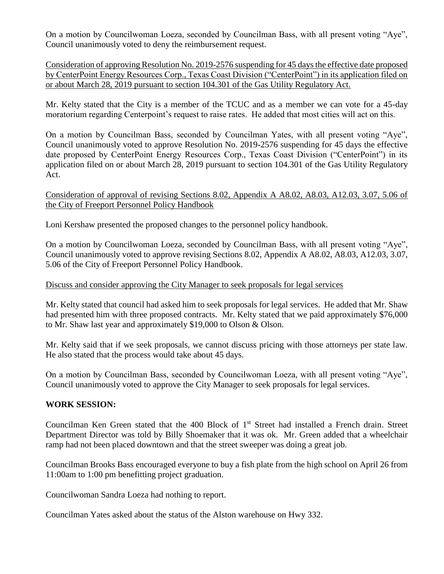On a motion by Councilwoman Loeza, seconded by Councilman Bass, with all present voting "Aye", Council unanimously voted to deny the reimbursement request.

Consideration of approving Resolution No. 2019-2576 suspending for 45 days the effective date proposed by CenterPoint Energy Resources Corp., Texas Coast Division ("CenterPoint") in its application filed on or about March 28, 2019 pursuant to section 104.301 of the Gas Utility Regulatory Act.

Mr. Kelty stated that the City is a member of the TCUC and as a member we can vote for a 45-day moratorium regarding Centerpoint's request to raise rates. He added that most cities will act on this.

On a motion by Councilman Bass, seconded by Councilman Yates, with all present voting "Aye", Council unanimously voted to approve Resolution No. 2019-2576 suspending for 45 days the effective date proposed by CenterPoint Energy Resources Corp., Texas Coast Division ("CenterPoint") in its application filed on or about March 28, 2019 pursuant to section 104.301 of the Gas Utility Regulatory Act.

Consideration of approval of revising Sections 8.02, Appendix A A8.02, A8.03, A12.03, 3.07, 5.06 of the City of Freeport Personnel Policy Handbook

Loni Kershaw presented the proposed changes to the personnel policy handbook.

On a motion by Councilwoman Loeza, seconded by Councilman Bass, with all present voting "Aye", Council unanimously voted to approve revising Sections 8.02, Appendix A A8.02, A8.03, A12.03, 3.07, 5.06 of the City of Freeport Personnel Policy Handbook.

#### Discuss and consider approving the City Manager to seek proposals for legal services

Mr. Kelty stated that council had asked him to seek proposals for legal services. He added that Mr. Shaw had presented him with three proposed contracts. Mr. Kelty stated that we paid approximately \$76,000 to Mr. Shaw last year and approximately \$19,000 to Olson & Olson.

Mr. Kelty said that if we seek proposals, we cannot discuss pricing with those attorneys per state law. He also stated that the process would take about 45 days.

On a motion by Councilman Bass, seconded by Councilwoman Loeza, with all present voting "Aye", Council unanimously voted to approve the City Manager to seek proposals for legal services.

### **WORK SESSION:**

Councilman Ken Green stated that the 400 Block of 1<sup>st</sup> Street had installed a French drain. Street Department Director was told by Billy Shoemaker that it was ok. Mr. Green added that a wheelchair ramp had not been placed downtown and that the street sweeper was doing a great job.

Councilman Brooks Bass encouraged everyone to buy a fish plate from the high school on April 26 from 11:00am to 1:00 pm benefitting project graduation.

Councilwoman Sandra Loeza had nothing to report.

Councilman Yates asked about the status of the Alston warehouse on Hwy 332.